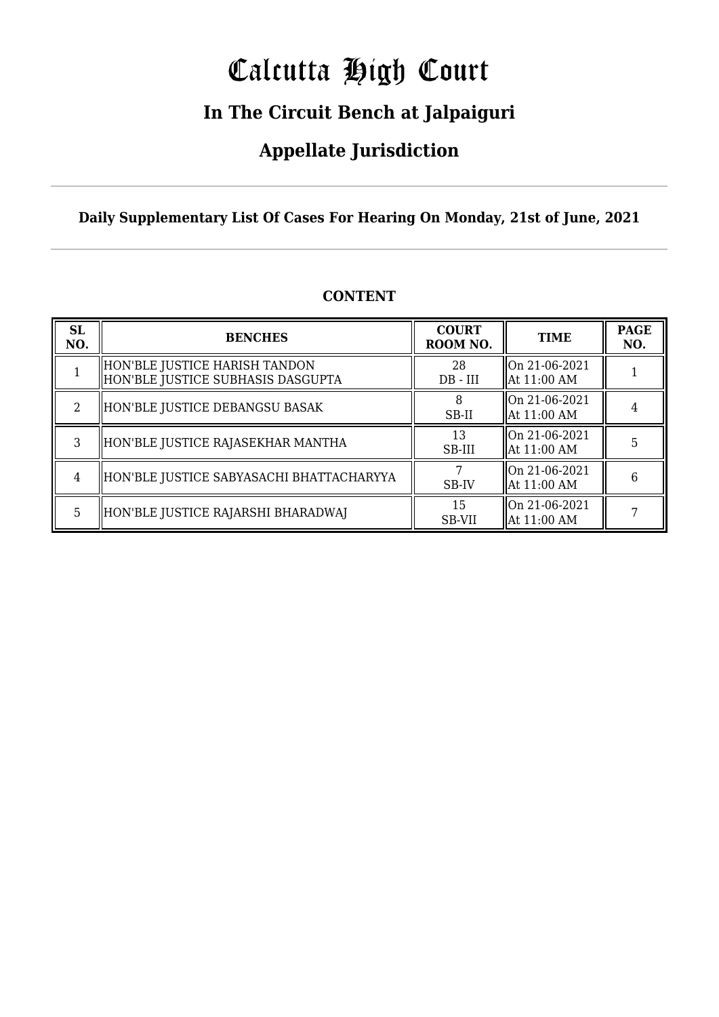# Calcutta High Court

### **In The Circuit Bench at Jalpaiguri**

### **Appellate Jurisdiction**

**Daily Supplementary List Of Cases For Hearing On Monday, 21st of June, 2021**

| <b>SL</b><br>NO. | <b>BENCHES</b>                                                     | <b>COURT</b><br>ROOM NO. | <b>TIME</b>                    | <b>PAGE</b><br>NO. |
|------------------|--------------------------------------------------------------------|--------------------------|--------------------------------|--------------------|
|                  | HON'BLE JUSTICE HARISH TANDON<br>HON'BLE JUSTICE SUBHASIS DASGUPTA | 28<br>$DB - III$         | On 21-06-2021<br>  At 11:00 AM |                    |
| $\mathcal{L}$    | HON'BLE JUSTICE DEBANGSU BASAK                                     | SB-II                    | On 21-06-2021<br>  At 11:00 AM |                    |
| 3                | HON'BLE JUSTICE RAJASEKHAR MANTHA                                  | 13<br>SB-III             | On 21-06-2021<br>  At 11:00 AM | 5                  |
| 4                | HON'BLE JUSTICE SABYASACHI BHATTACHARYYA                           | SB-IV                    | On 21-06-2021<br>  At 11:00 AM | 6                  |
| 5                | HON'BLE JUSTICE RAJARSHI BHARADWAJ                                 | 15<br>SB-VII             | On 21-06-2021<br>  At 11:00 AM |                    |

#### **CONTENT**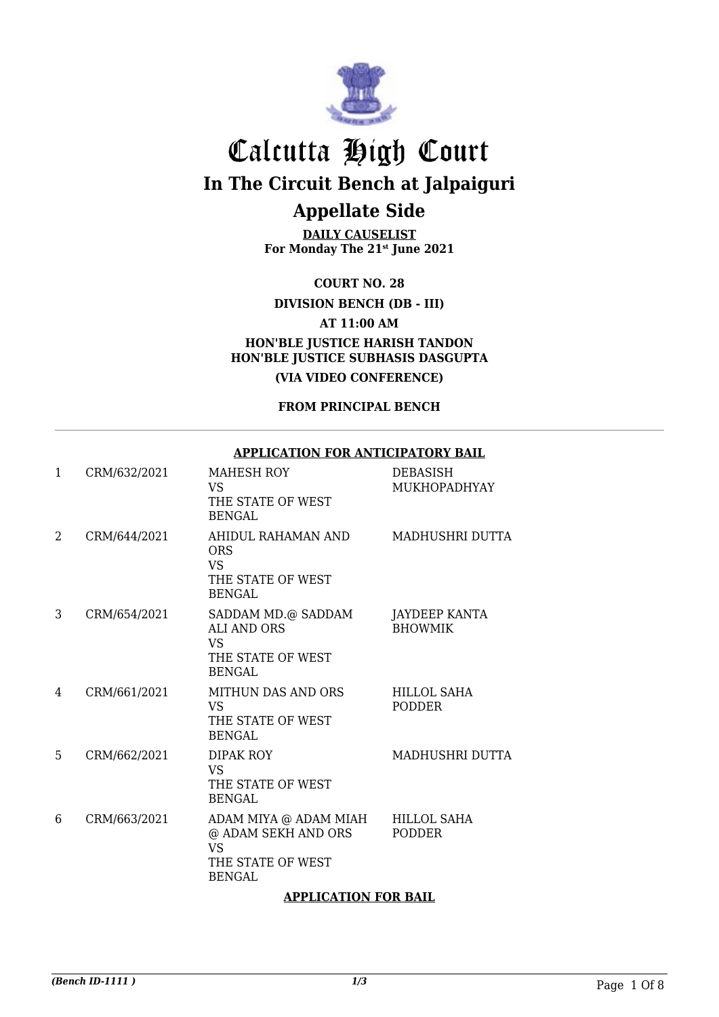

**DAILY CAUSELIST For Monday The 21st June 2021**

**COURT NO. 28**

**DIVISION BENCH (DB - III)**

**AT 11:00 AM**

**HON'BLE JUSTICE HARISH TANDON HON'BLE JUSTICE SUBHASIS DASGUPTA**

**(VIA VIDEO CONFERENCE)**

**FROM PRINCIPAL BENCH**

#### **APPLICATION FOR ANTICIPATORY BAIL**

| $\mathbf{1}$ | CRM/632/2021 | <b>MAHESH ROY</b><br>VS<br>THE STATE OF WEST<br><b>BENGAL</b>                                   | DEBASISH<br><b>MUKHOPADHYAY</b>        |
|--------------|--------------|-------------------------------------------------------------------------------------------------|----------------------------------------|
| 2            | CRM/644/2021 | AHIDUL RAHAMAN AND<br><b>ORS</b><br><b>VS</b><br>THE STATE OF WEST<br><b>BENGAL</b>             | MADHUSHRI DUTTA                        |
| 3            | CRM/654/2021 | SADDAM MD.@ SADDAM<br><b>ALI AND ORS</b><br>VS.<br>THE STATE OF WEST<br>BENGAL                  | <b>JAYDEEP KANTA</b><br><b>BHOWMIK</b> |
| 4            | CRM/661/2021 | <b>MITHUN DAS AND ORS</b><br><b>VS</b><br>THE STATE OF WEST<br><b>BENGAL</b>                    | <b>HILLOL SAHA</b><br><b>PODDER</b>    |
| 5            | CRM/662/2021 | <b>DIPAK ROY</b><br><b>VS</b><br>THE STATE OF WEST<br><b>BENGAL</b>                             | MADHUSHRI DUTTA                        |
| 6            | CRM/663/2021 | ADAM MIYA @ ADAM MIAH<br>@ ADAM SEKH AND ORS<br><b>VS</b><br>THE STATE OF WEST<br><b>BENGAL</b> | <b>HILLOL SAHA</b><br><b>PODDER</b>    |

#### **APPLICATION FOR BAIL**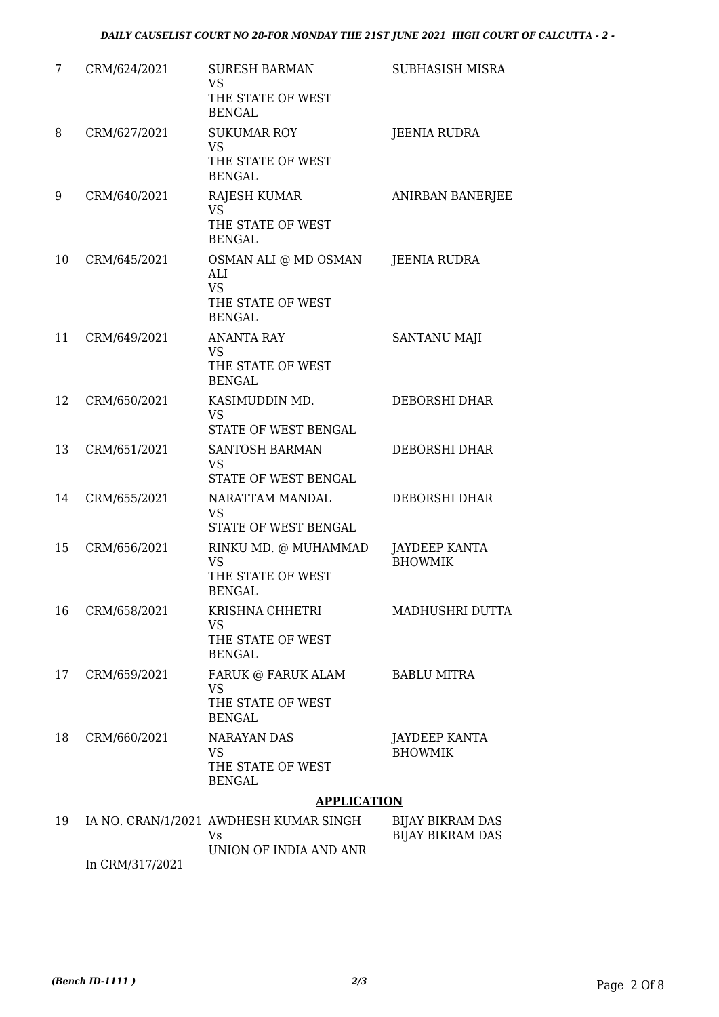| 7  | CRM/624/2021        | <b>SURESH BARMAN</b><br><b>VS</b><br>THE STATE OF WEST<br><b>BENGAL</b>         | <b>SUBHASISH MISRA</b>                             |
|----|---------------------|---------------------------------------------------------------------------------|----------------------------------------------------|
| 8  | CRM/627/2021        | <b>SUKUMAR ROY</b><br><b>VS</b><br>THE STATE OF WEST<br><b>BENGAL</b>           | JEENIA RUDRA                                       |
| 9  | CRM/640/2021        | <b>RAJESH KUMAR</b><br><b>VS</b><br>THE STATE OF WEST<br><b>BENGAL</b>          | ANIRBAN BANERJEE                                   |
| 10 | CRM/645/2021        | OSMAN ALI @ MD OSMAN<br>AI.I<br><b>VS</b><br>THE STATE OF WEST<br><b>BENGAL</b> | <b>JEENIA RUDRA</b>                                |
| 11 | CRM/649/2021        | <b>ANANTA RAY</b><br><b>VS</b><br>THE STATE OF WEST<br><b>BENGAL</b>            | SANTANU MAJI                                       |
| 12 | CRM/650/2021        | KASIMUDDIN MD.<br><b>VS</b><br>STATE OF WEST BENGAL                             | DEBORSHI DHAR                                      |
| 13 | CRM/651/2021        | SANTOSH BARMAN<br><b>VS</b><br>STATE OF WEST BENGAL                             | DEBORSHI DHAR                                      |
| 14 | CRM/655/2021        | NARATTAM MANDAL<br><b>VS</b><br>STATE OF WEST BENGAL                            | DEBORSHI DHAR                                      |
| 15 | CRM/656/2021        | RINKU MD. @ MUHAMMAD<br><b>VS</b><br>THE STATE OF WEST<br><b>BENGAL</b>         | JAYDEEP KANTA<br><b>BHOWMIK</b>                    |
| 16 | CRM/658/2021        | KRISHNA CHHETRI<br>VS<br>THE STATE OF WEST<br><b>BENGAL</b>                     | MADHUSHRI DUTTA                                    |
| 17 | CRM/659/2021        | FARUK @ FARUK ALAM<br><b>VS</b><br>THE STATE OF WEST<br><b>BENGAL</b>           | <b>BABLU MITRA</b>                                 |
| 18 | CRM/660/2021        | <b>NARAYAN DAS</b><br><b>VS</b><br>THE STATE OF WEST<br><b>BENGAL</b>           | JAYDEEP KANTA<br><b>BHOWMIK</b>                    |
|    |                     | <b>APPLICATION</b>                                                              |                                                    |
| 19 |                     | IA NO. CRAN/1/2021 AWDHESH KUMAR SINGH<br>Vs<br>UNION OF INDIA AND ANR          | <b>BIJAY BIKRAM DAS</b><br><b>BIJAY BIKRAM DAS</b> |
|    | 1001 <i>01</i> 7001 |                                                                                 |                                                    |

In CRM/317/2021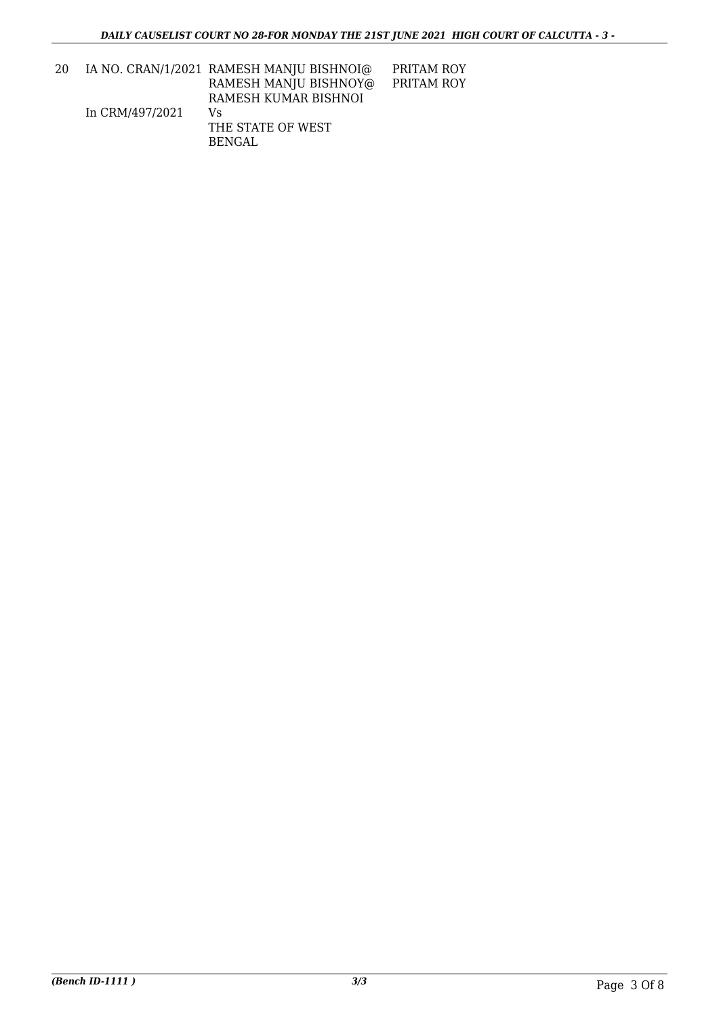| 20 |                 | IA NO. CRAN/1/2021 RAMESH MANJU BISHNOI@ | PRITAM ROY |
|----|-----------------|------------------------------------------|------------|
|    |                 | RAMESH MANJU BISHNOY@                    | PRITAM ROY |
|    |                 | RAMESH KUMAR BISHNOI                     |            |
|    | In CRM/497/2021 | Vs                                       |            |
|    |                 | THE STATE OF WEST                        |            |
|    |                 | BENGAL                                   |            |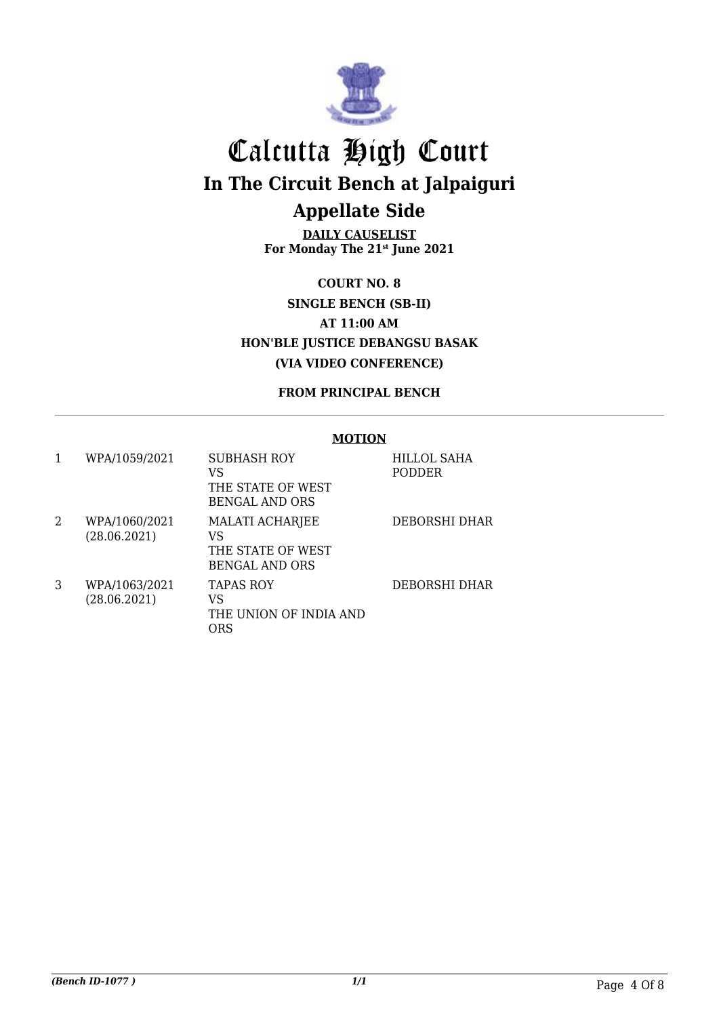

**DAILY CAUSELIST For Monday The 21st June 2021**

**COURT NO. 8 SINGLE BENCH (SB-II) AT 11:00 AM HON'BLE JUSTICE DEBANGSU BASAK (VIA VIDEO CONFERENCE)**

**FROM PRINCIPAL BENCH**

#### **MOTION**

|   | WPA/1059/2021                 | SUBHASH ROY<br>VS<br>THE STATE OF WEST<br><b>BENGAL AND ORS</b>            | HILLOL SAHA<br><b>PODDER</b> |
|---|-------------------------------|----------------------------------------------------------------------------|------------------------------|
| 2 | WPA/1060/2021<br>(28.06.2021) | <b>MALATI ACHARJEE</b><br>VS<br>THE STATE OF WEST<br><b>BENGAL AND ORS</b> | DEBORSHI DHAR                |
| 3 | WPA/1063/2021<br>(28.06.2021) | <b>TAPAS ROY</b><br>VS<br>THE UNION OF INDIA AND<br>ORS                    | DEBORSHI DHAR                |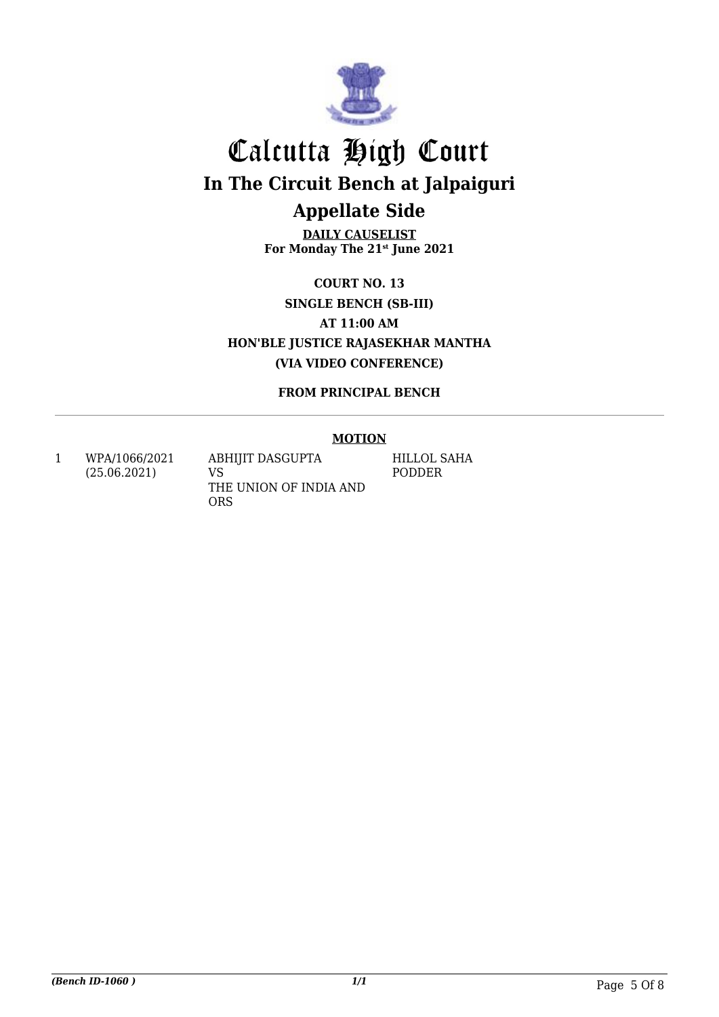

**DAILY CAUSELIST For Monday The 21st June 2021**

**COURT NO. 13 SINGLE BENCH (SB-III) AT 11:00 AM HON'BLE JUSTICE RAJASEKHAR MANTHA (VIA VIDEO CONFERENCE)**

**FROM PRINCIPAL BENCH**

#### **MOTION**

1 WPA/1066/2021 (25.06.2021)

ABHIJIT DASGUPTA VS THE UNION OF INDIA AND ORS

HILLOL SAHA PODDER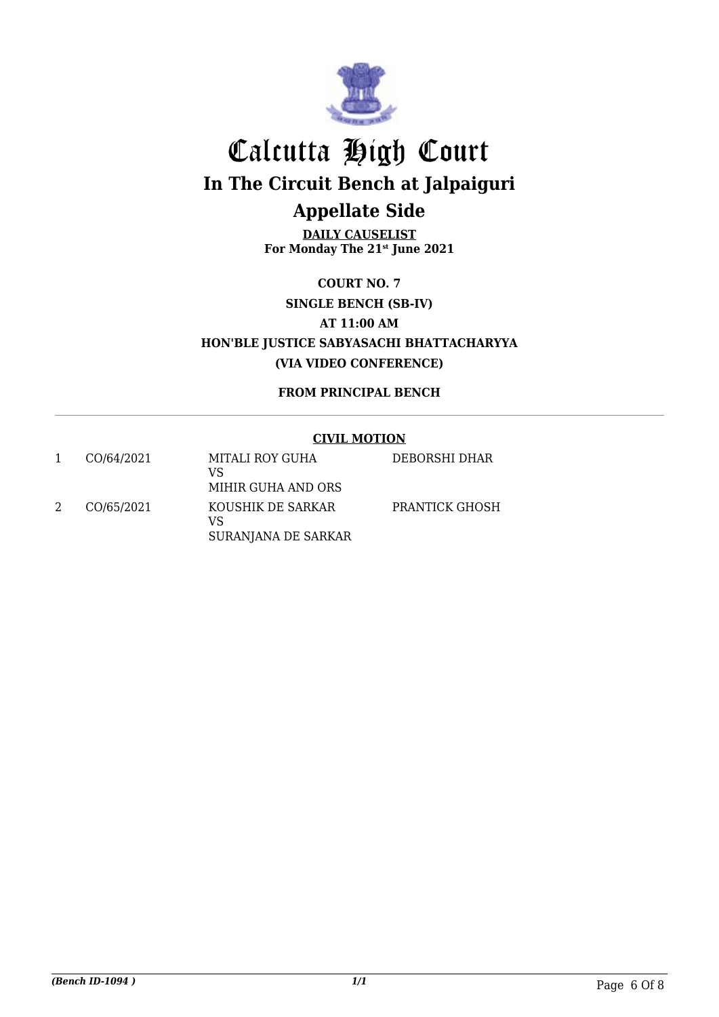

**DAILY CAUSELIST For Monday The 21st June 2021**

**COURT NO. 7 SINGLE BENCH (SB-IV) AT 11:00 AM HON'BLE JUSTICE SABYASACHI BHATTACHARYYA (VIA VIDEO CONFERENCE)**

**FROM PRINCIPAL BENCH**

#### **CIVIL MOTION**

| CO/64/2021 | MITALI ROY GUHA<br>VS<br>MIHIR GUHA AND ORS    | DEBORSHI DHAR  |
|------------|------------------------------------------------|----------------|
| CO/65/2021 | KOUSHIK DE SARKAR<br>VS<br>SURANJANA DE SARKAR | PRANTICK GHOSH |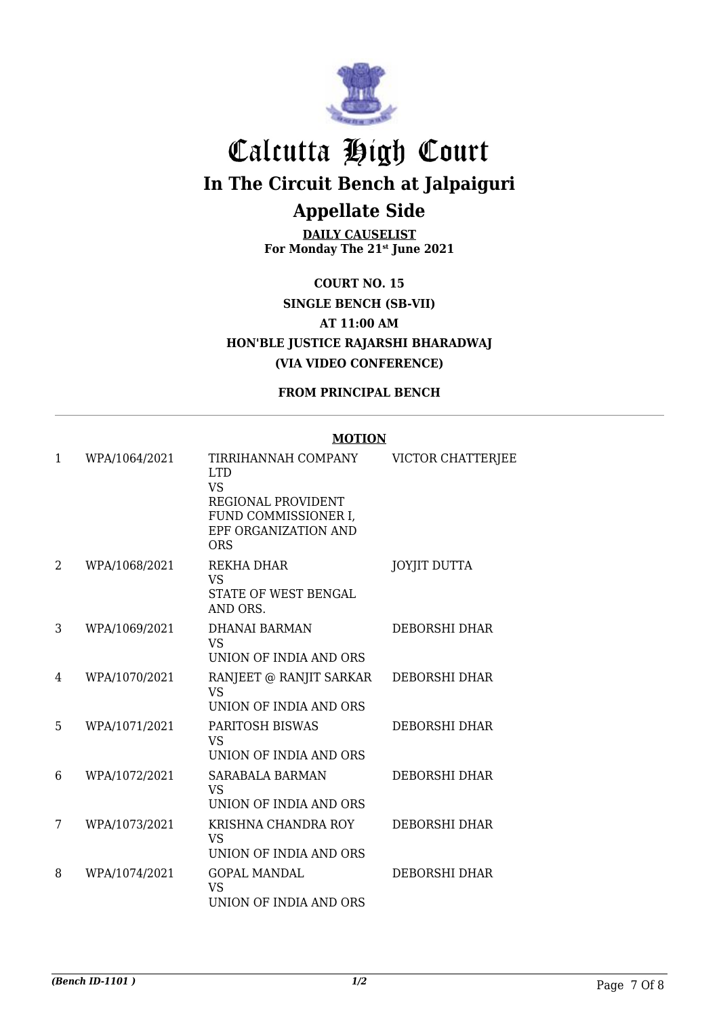

**DAILY CAUSELIST For Monday The 21st June 2021**

**COURT NO. 15 SINGLE BENCH (SB-VII) AT 11:00 AM HON'BLE JUSTICE RAJARSHI BHARADWAJ (VIA VIDEO CONFERENCE)**

**FROM PRINCIPAL BENCH**

#### **MOTION**

| 1 | WPA/1064/2021 | TIRRIHANNAH COMPANY<br><b>LTD</b>                                                      | VICTOR CHATTERJEE    |
|---|---------------|----------------------------------------------------------------------------------------|----------------------|
|   |               | <b>VS</b><br>REGIONAL PROVIDENT<br>FUND COMMISSIONER I,<br>EPF ORGANIZATION AND<br>ORS |                      |
| 2 | WPA/1068/2021 | REKHA DHAR<br><b>VS</b><br>STATE OF WEST BENGAL<br>AND ORS.                            | <b>JOYJIT DUTTA</b>  |
| 3 | WPA/1069/2021 | DHANAI BARMAN<br><b>VS</b><br>UNION OF INDIA AND ORS                                   | DEBORSHI DHAR        |
| 4 | WPA/1070/2021 | RANJEET @ RANJIT SARKAR<br><b>VS</b><br>UNION OF INDIA AND ORS                         | DEBORSHI DHAR        |
| 5 | WPA/1071/2021 | <b>PARITOSH BISWAS</b><br><b>VS</b><br>UNION OF INDIA AND ORS                          | <b>DEBORSHI DHAR</b> |
| 6 | WPA/1072/2021 | <b>SARABALA BARMAN</b><br><b>VS</b><br>UNION OF INDIA AND ORS                          | <b>DEBORSHI DHAR</b> |
| 7 | WPA/1073/2021 | KRISHNA CHANDRA ROY<br><b>VS</b><br>UNION OF INDIA AND ORS                             | <b>DEBORSHI DHAR</b> |
| 8 | WPA/1074/2021 | <b>GOPAL MANDAL</b><br><b>VS</b><br>UNION OF INDIA AND ORS                             | <b>DEBORSHI DHAR</b> |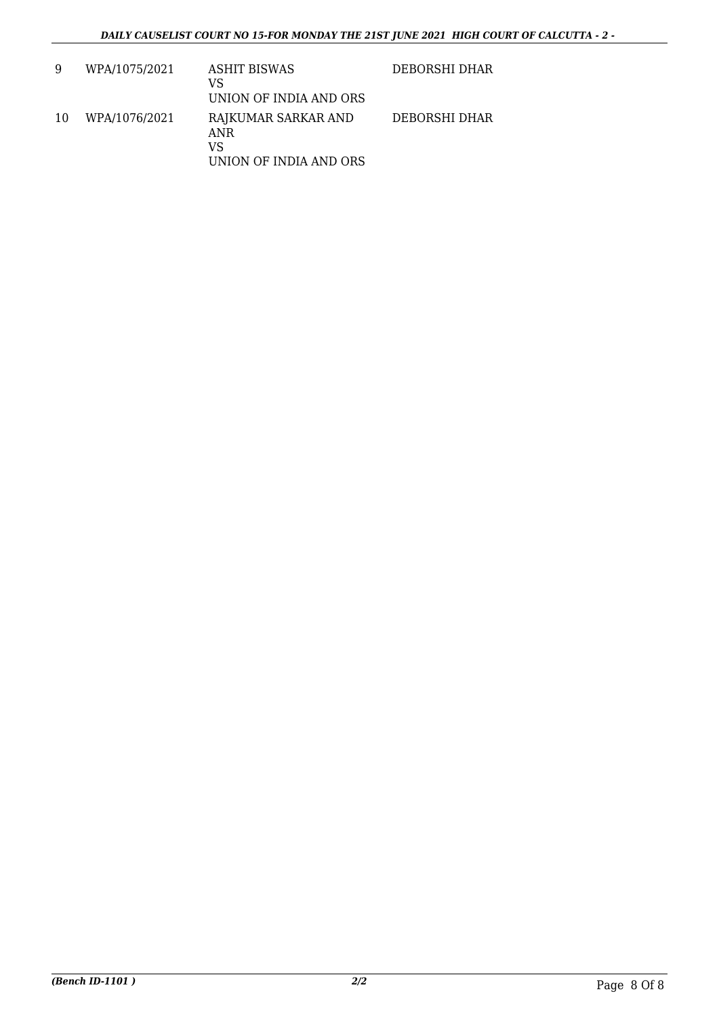| 9  | WPA/1075/2021 | ASHIT BISWAS<br>VS<br>UNION OF INDIA AND ORS               | DEBORSHI DHAR |
|----|---------------|------------------------------------------------------------|---------------|
| 10 | WPA/1076/2021 | RAJKUMAR SARKAR AND<br>ANR<br>VS<br>UNION OF INDIA AND ORS | DEBORSHI DHAR |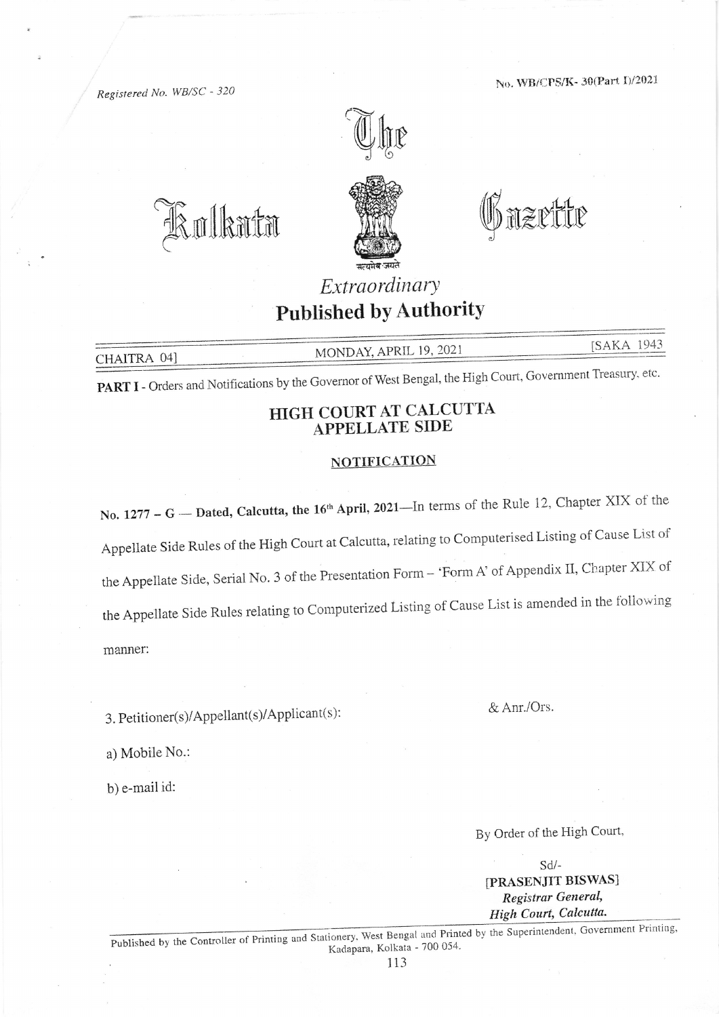No. WB/CPS/K-30(Part I)/2021

Regisrered No. WB/SC - 324



BoIhmtt:r @nzuffiu



### Extraordinary Published bY AuthoritY

SAKA 1943 MONDAY, APRIL 19, 2021

PART I - Orders and Notifications by the Governor of West Bengal, the High Court, Government Treasury, etc.

#### HIGH COURT AT CALCUTTA APPELLATE SIDE

#### **NOTIFICATION**

No. 1277 - G - Dated, Calcutta, the 16<sup>th</sup> April, 2021-In terms of the Rule 12, Chapter XIX of the Appellate Side Rules of the High Court at Calcutta, relating to Computerised Listing of Cause List of the Appellate Side, Serial No. 3 of the Presentation Form - 'Form A' of Appendix II, Chapter XIX of the Appellate Side Rules relating to Computerized Listing of Cause List is amended in the following manner:

3. Petitioner(s)/Appellant(s)/Applicant(s): & Anr./Ors.

a) Mobile No.:

b) e-mail id:

By Order of the High Court.

sd/- IPRASENJIT BISWAS] Registrar General, High Court, Calcutta.

Published by the Controller of Printing and Stationery, West Bengal and Printed by the Super<br>Kadapara, Kolkata - 700 054. intendent, Government Printing,